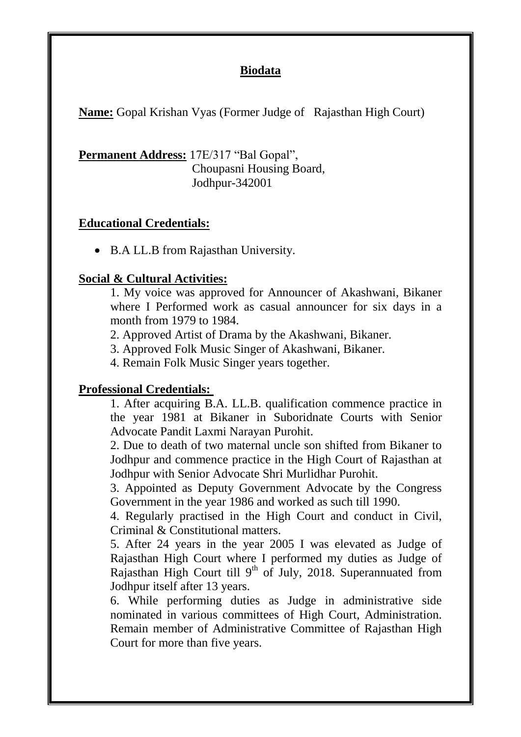## **Biodata**

**Name:** Gopal Krishan Vyas (Former Judge of Rajasthan High Court)

Permanent Address: 17E/317 "Bal Gopal", Choupasni Housing Board, Jodhpur-342001

## **Educational Credentials:** ٦

• B.A LL.B from Rajasthan University.

## **Social & Cultural Activities:**

1. My voice was approved for Announcer of Akashwani, Bikaner where I Performed work as casual announcer for six days in a month from 1979 to 1984.

2. Approved Artist of Drama by the Akashwani, Bikaner.

3. Approved Folk Music Singer of Akashwani, Bikaner.

4. Remain Folk Music Singer years together.

## **Professional Credentials:**

1. After acquiring B.A. LL.B. qualification commence practice in the year 1981 at Bikaner in Suboridnate Courts with Senior Advocate Pandit Laxmi Narayan Purohit.

2. Due to death of two maternal uncle son shifted from Bikaner to Jodhpur and commence practice in the High Court of Rajasthan at Jodhpur with Senior Advocate Shri Murlidhar Purohit.

3. Appointed as Deputy Government Advocate by the Congress Government in the year 1986 and worked as such till 1990.

4. Regularly practised in the High Court and conduct in Civil, Criminal & Constitutional matters.

5. After 24 years in the year 2005 I was elevated as Judge of Rajasthan High Court where I performed my duties as Judge of Rajasthan High Court till  $9<sup>th</sup>$  of July, 2018. Superannuated from Jodhpur itself after 13 years.

6. While performing duties as Judge in administrative side nominated in various committees of High Court, Administration. Remain member of Administrative Committee of Rajasthan High Court for more than five years.